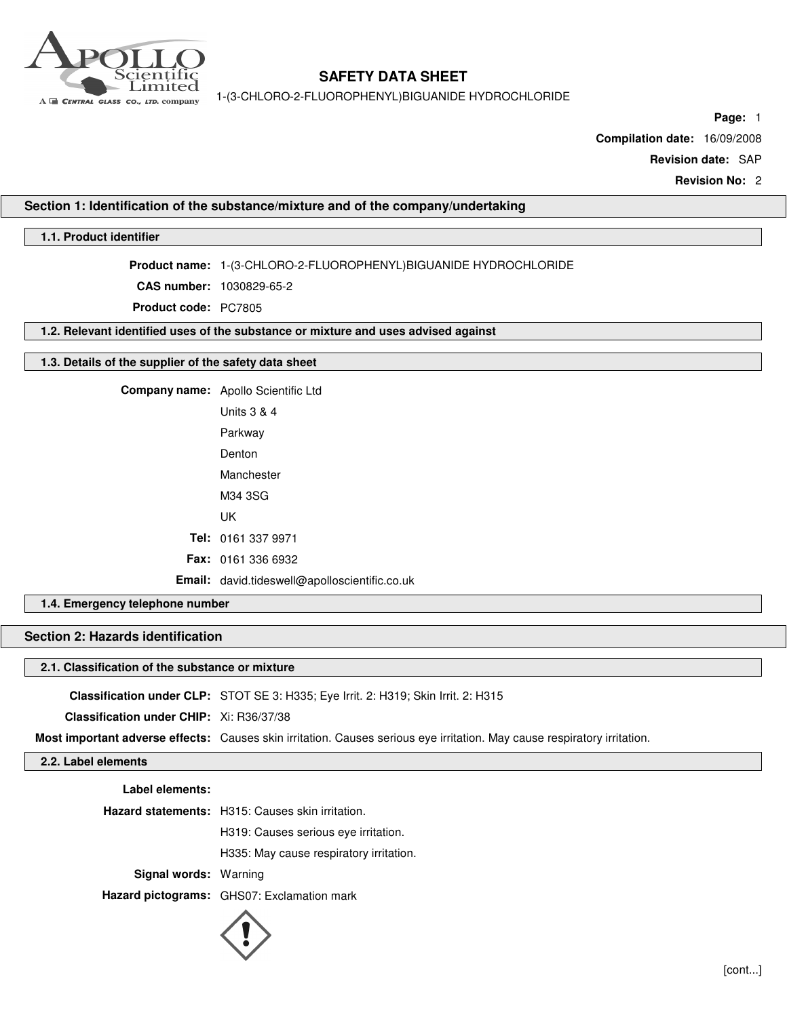

1-(3-CHLORO-2-FLUOROPHENYL)BIGUANIDE HYDROCHLORIDE

**Page:** 1

**Compilation date:** 16/09/2008

**Revision date:** SAP

**Revision No:** 2

### **Section 1: Identification of the substance/mixture and of the company/undertaking**

# **1.1. Product identifier**

**Product name:** 1-(3-CHLORO-2-FLUOROPHENYL)BIGUANIDE HYDROCHLORIDE

**CAS number:** 1030829-65-2

**Product code:** PC7805

**1.2. Relevant identified uses of the substance or mixture and uses advised against**

### **1.3. Details of the supplier of the safety data sheet**

**Company name:** Apollo Scientific Ltd Units 3 & 4

> Parkway Denton Manchester

M34 3SG

UK

**Tel:** 0161 337 9971

**Fax:** 0161 336 6932

**Email:** david.tideswell@apolloscientific.co.uk

# **1.4. Emergency telephone number**

# **Section 2: Hazards identification**

### **2.1. Classification of the substance or mixture**

**Classification under CLP:** STOT SE 3: H335; Eye Irrit. 2: H319; Skin Irrit. 2: H315

**Classification under CHIP:** Xi: R36/37/38

**Most important adverse effects:** Causes skin irritation. Causes serious eye irritation. May cause respiratory irritation.

## **2.2. Label elements**

| Label elements:              |                                                         |
|------------------------------|---------------------------------------------------------|
|                              | <b>Hazard statements:</b> H315: Causes skin irritation. |
|                              | H319: Causes serious eye irritation.                    |
|                              | H335: May cause respiratory irritation.                 |
| <b>Signal words: Warning</b> |                                                         |
|                              | Hazard pictograms: GHS07: Exclamation mark              |

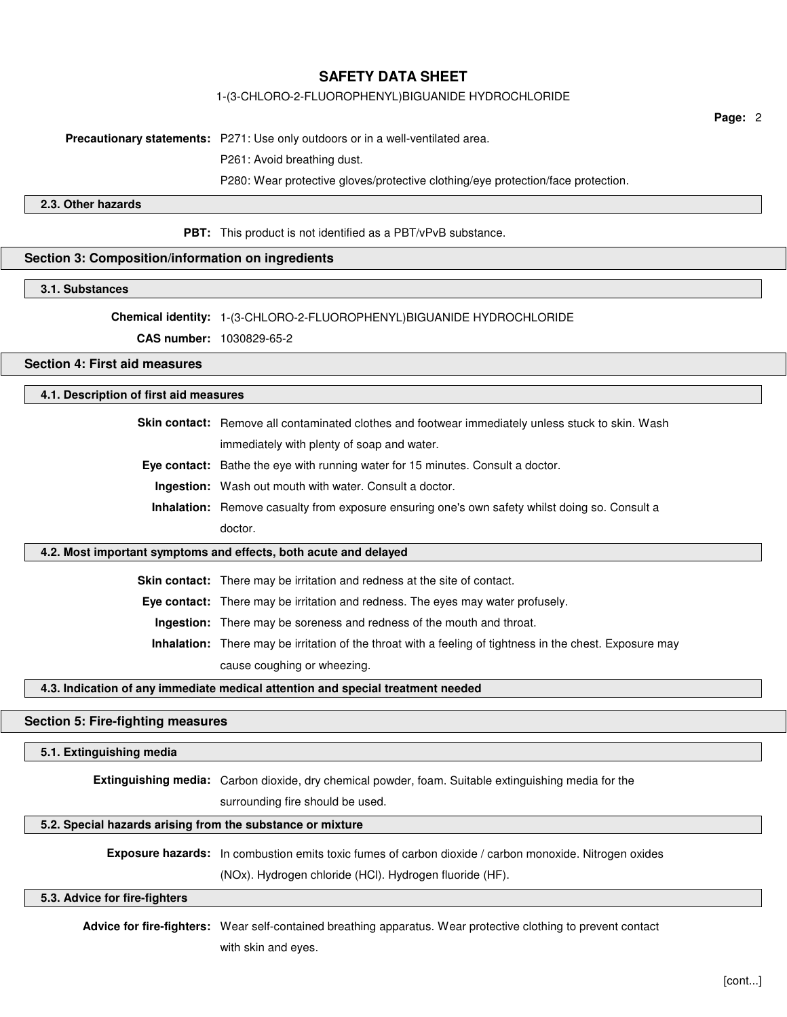### 1-(3-CHLORO-2-FLUOROPHENYL)BIGUANIDE HYDROCHLORIDE

**Page:** 2

**Precautionary statements:** P271: Use only outdoors or in a well-ventilated area.

P261: Avoid breathing dust.

P280: Wear protective gloves/protective clothing/eye protection/face protection.

### **2.3. Other hazards**

**PBT:** This product is not identified as a PBT/vPvB substance.

# **Section 3: Composition/information on ingredients**

# **3.1. Substances**

**Chemical identity:** 1-(3-CHLORO-2-FLUOROPHENYL)BIGUANIDE HYDROCHLORIDE

**CAS number:** 1030829-65-2

# **Section 4: First aid measures**

# **4.1. Description of first aid measures**

**Skin contact:** Remove all contaminated clothes and footwear immediately unless stuck to skin. Wash immediately with plenty of soap and water.

**Eye contact:** Bathe the eye with running water for 15 minutes. Consult a doctor.

**Ingestion:** Wash out mouth with water. Consult a doctor.

**Inhalation:** Remove casualty from exposure ensuring one's own safety whilst doing so. Consult a doctor.

#### **4.2. Most important symptoms and effects, both acute and delayed**

**Skin contact:** There may be irritation and redness at the site of contact.

**Eye contact:** There may be irritation and redness. The eyes may water profusely.

**Ingestion:** There may be soreness and redness of the mouth and throat.

**Inhalation:** There may be irritation of the throat with a feeling of tightness in the chest. Exposure may cause coughing or wheezing.

**4.3. Indication of any immediate medical attention and special treatment needed**

#### **Section 5: Fire-fighting measures**

### **5.1. Extinguishing media**

**Extinguishing media:** Carbon dioxide, dry chemical powder, foam. Suitable extinguishing media for the

surrounding fire should be used.

## **5.2. Special hazards arising from the substance or mixture**

**Exposure hazards:** In combustion emits toxic fumes of carbon dioxide / carbon monoxide. Nitrogen oxides (NOx). Hydrogen chloride (HCl). Hydrogen fluoride (HF).

#### **5.3. Advice for fire-fighters**

**Advice for fire-fighters:** Wear self-contained breathing apparatus. Wear protective clothing to prevent contact with skin and eyes.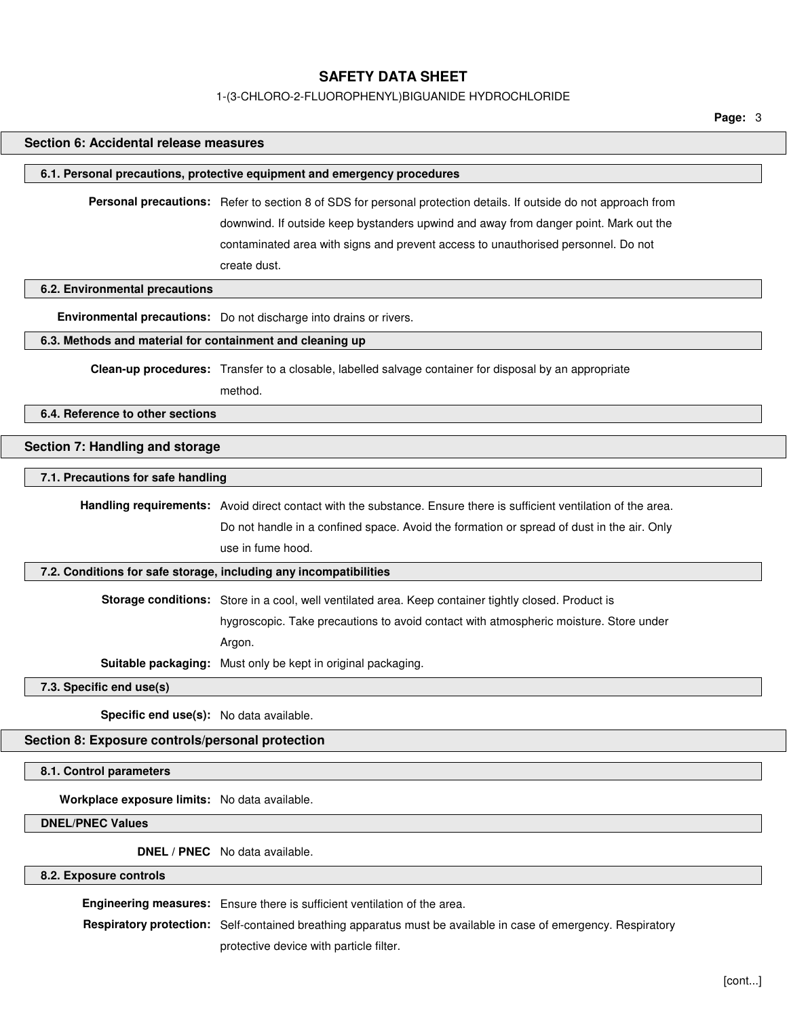# 1-(3-CHLORO-2-FLUOROPHENYL)BIGUANIDE HYDROCHLORIDE

**Page:** 3

| Section 6: Accidental release measures                    |                                                                                                                     |
|-----------------------------------------------------------|---------------------------------------------------------------------------------------------------------------------|
|                                                           | 6.1. Personal precautions, protective equipment and emergency procedures                                            |
|                                                           | Personal precautions: Refer to section 8 of SDS for personal protection details. If outside do not approach from    |
|                                                           | downwind. If outside keep bystanders upwind and away from danger point. Mark out the                                |
|                                                           | contaminated area with signs and prevent access to unauthorised personnel. Do not                                   |
|                                                           | create dust.                                                                                                        |
| 6.2. Environmental precautions                            |                                                                                                                     |
|                                                           | Environmental precautions: Do not discharge into drains or rivers.                                                  |
| 6.3. Methods and material for containment and cleaning up |                                                                                                                     |
|                                                           | Clean-up procedures: Transfer to a closable, labelled salvage container for disposal by an appropriate              |
|                                                           | method.                                                                                                             |
| 6.4. Reference to other sections                          |                                                                                                                     |
|                                                           |                                                                                                                     |
| Section 7: Handling and storage                           |                                                                                                                     |
| 7.1. Precautions for safe handling                        |                                                                                                                     |
|                                                           | Handling requirements: Avoid direct contact with the substance. Ensure there is sufficient ventilation of the area. |
|                                                           | Do not handle in a confined space. Avoid the formation or spread of dust in the air. Only                           |
|                                                           | use in fume hood.                                                                                                   |
|                                                           | 7.2. Conditions for safe storage, including any incompatibilities                                                   |
|                                                           | Storage conditions: Store in a cool, well ventilated area. Keep container tightly closed. Product is                |
|                                                           | hygroscopic. Take precautions to avoid contact with atmospheric moisture. Store under                               |
|                                                           | Argon.                                                                                                              |
|                                                           | Suitable packaging: Must only be kept in original packaging.                                                        |
| 7.3. Specific end use(s)                                  |                                                                                                                     |
| Specific end use(s): No data available.                   |                                                                                                                     |
| Section 8: Exposure controls/personal protection          |                                                                                                                     |
| 8.1. Control parameters                                   |                                                                                                                     |
|                                                           |                                                                                                                     |
| Workplace exposure limits: No data available.             |                                                                                                                     |
| <b>DNEL/PNEC Values</b>                                   |                                                                                                                     |
|                                                           | DNEL / PNEC No data available.                                                                                      |
| 8.2. Exposure controls                                    |                                                                                                                     |

**Engineering measures:** Ensure there is sufficient ventilation of the area.

**Respiratory protection:** Self-contained breathing apparatus must be available in case of emergency. Respiratory protective device with particle filter.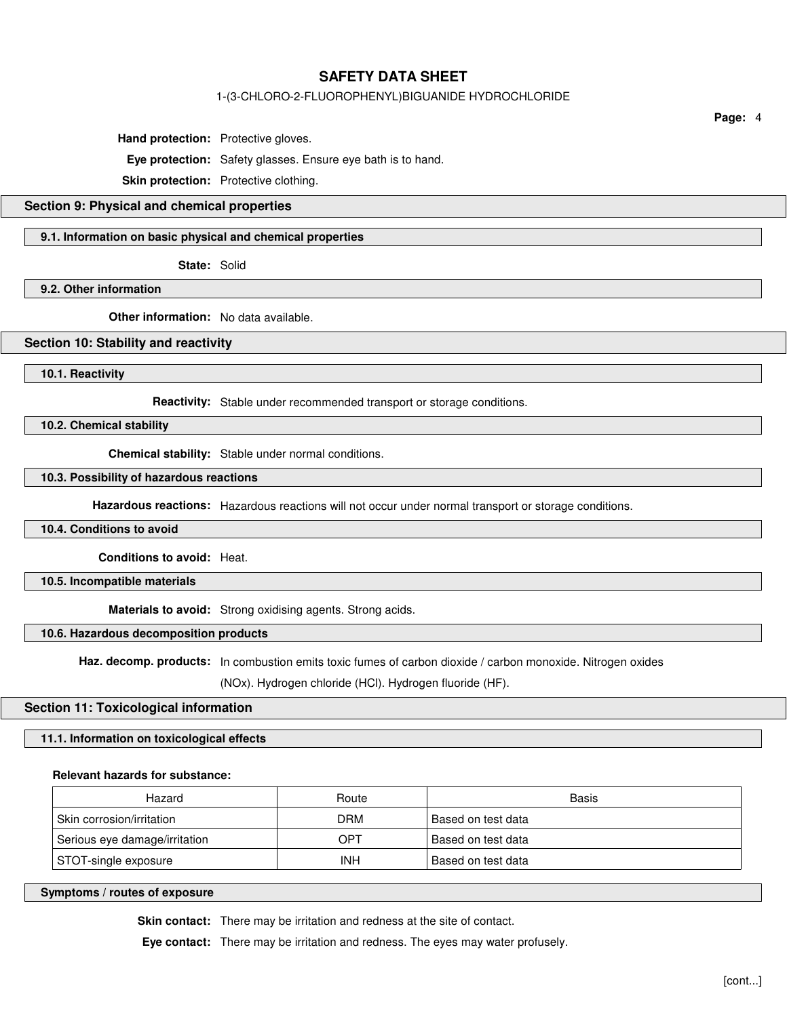### 1-(3-CHLORO-2-FLUOROPHENYL)BIGUANIDE HYDROCHLORIDE

**Hand protection:** Protective gloves.

**Eye protection:** Safety glasses. Ensure eye bath is to hand.

**Skin protection:** Protective clothing.

# **Section 9: Physical and chemical properties**

### **9.1. Information on basic physical and chemical properties**

**State:** Solid

**9.2. Other information**

**Other information:** No data available.

#### **Section 10: Stability and reactivity**

**10.1. Reactivity**

**Reactivity:** Stable under recommended transport or storage conditions.

**10.2. Chemical stability**

**Chemical stability:** Stable under normal conditions.

#### **10.3. Possibility of hazardous reactions**

**Hazardous reactions:** Hazardous reactions will not occur under normal transport or storage conditions.

**10.4. Conditions to avoid**

**Conditions to avoid:** Heat.

**10.5. Incompatible materials**

**Materials to avoid:** Strong oxidising agents. Strong acids.

## **10.6. Hazardous decomposition products**

**Haz. decomp. products:** In combustion emits toxic fumes of carbon dioxide / carbon monoxide. Nitrogen oxides

(NOx). Hydrogen chloride (HCl). Hydrogen fluoride (HF).

#### **Section 11: Toxicological information**

#### **11.1. Information on toxicological effects**

#### **Relevant hazards for substance:**

| Hazard                        | Route      | Basis              |
|-------------------------------|------------|--------------------|
| Skin corrosion/irritation     | DRM        | Based on test data |
| Serious eye damage/irritation | OPT        | Based on test data |
| STOT-single exposure          | <b>INH</b> | Based on test data |

**Symptoms / routes of exposure**

**Skin contact:** There may be irritation and redness at the site of contact.

**Eye contact:** There may be irritation and redness. The eyes may water profusely.

**Page:** 4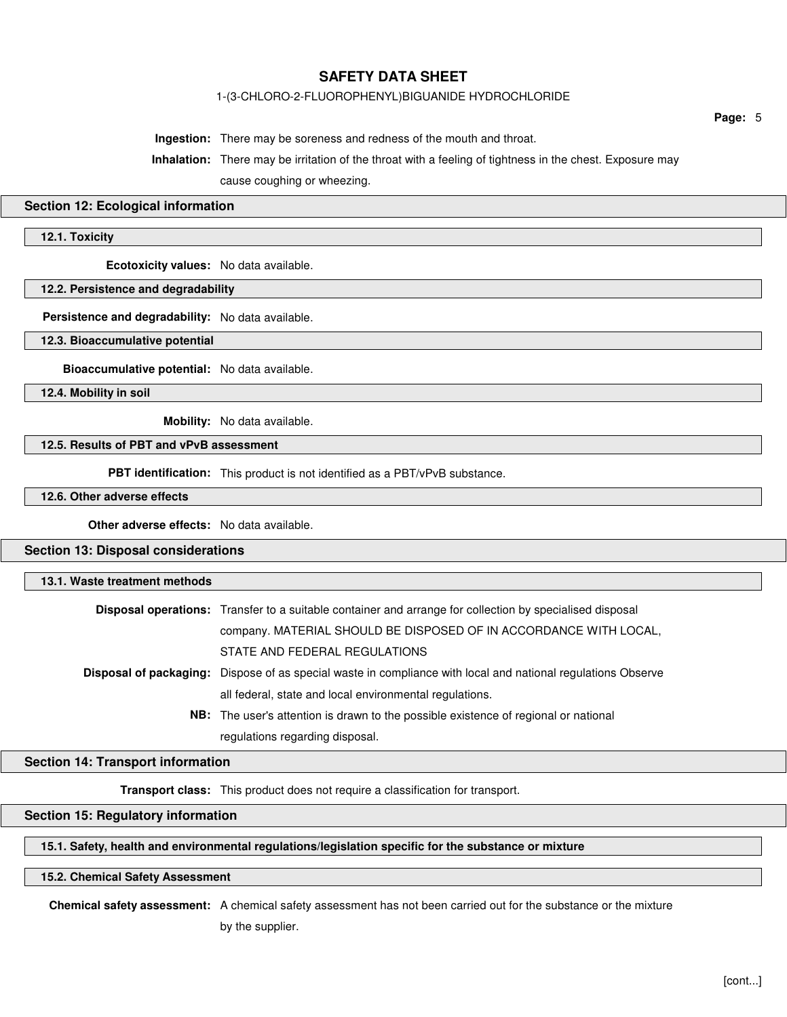### 1-(3-CHLORO-2-FLUOROPHENYL)BIGUANIDE HYDROCHLORIDE

**Page:** 5

**Ingestion:** There may be soreness and redness of the mouth and throat.

**Inhalation:** There may be irritation of the throat with a feeling of tightness in the chest. Exposure may cause coughing or wheezing.

#### **Section 12: Ecological information**

## **12.1. Toxicity**

**Ecotoxicity values:** No data available.

# **12.2. Persistence and degradability**

**Persistence and degradability:** No data available.

**12.3. Bioaccumulative potential**

**Bioaccumulative potential:** No data available.

**12.4. Mobility in soil**

**Mobility:** No data available.

# **12.5. Results of PBT and vPvB assessment**

**PBT identification:** This product is not identified as a PBT/vPvB substance.

## **12.6. Other adverse effects**

**Other adverse effects:** No data available.

# **Section 13: Disposal considerations**

| 13.1. Waste treatment methods |                                                                                                                     |
|-------------------------------|---------------------------------------------------------------------------------------------------------------------|
|                               | <b>Disposal operations:</b> Transfer to a suitable container and arrange for collection by specialised disposal     |
|                               | company. MATERIAL SHOULD BE DISPOSED OF IN ACCORDANCE WITH LOCAL,                                                   |
|                               | STATE AND FEDERAL REGULATIONS                                                                                       |
|                               | <b>Disposal of packaging:</b> Dispose of as special waste in compliance with local and national regulations Observe |
|                               | all federal, state and local environmental regulations.                                                             |
|                               | <b>NB:</b> The user's attention is drawn to the possible existence of regional or national                          |
|                               | regulations regarding disposal.                                                                                     |

## **Section 14: Transport information**

**Transport class:** This product does not require a classification for transport.

# **Section 15: Regulatory information**

## **15.1. Safety, health and environmental regulations/legislation specific for the substance or mixture**

## **15.2. Chemical Safety Assessment**

**Chemical safety assessment:** A chemical safety assessment has not been carried out for the substance or the mixture

by the supplier.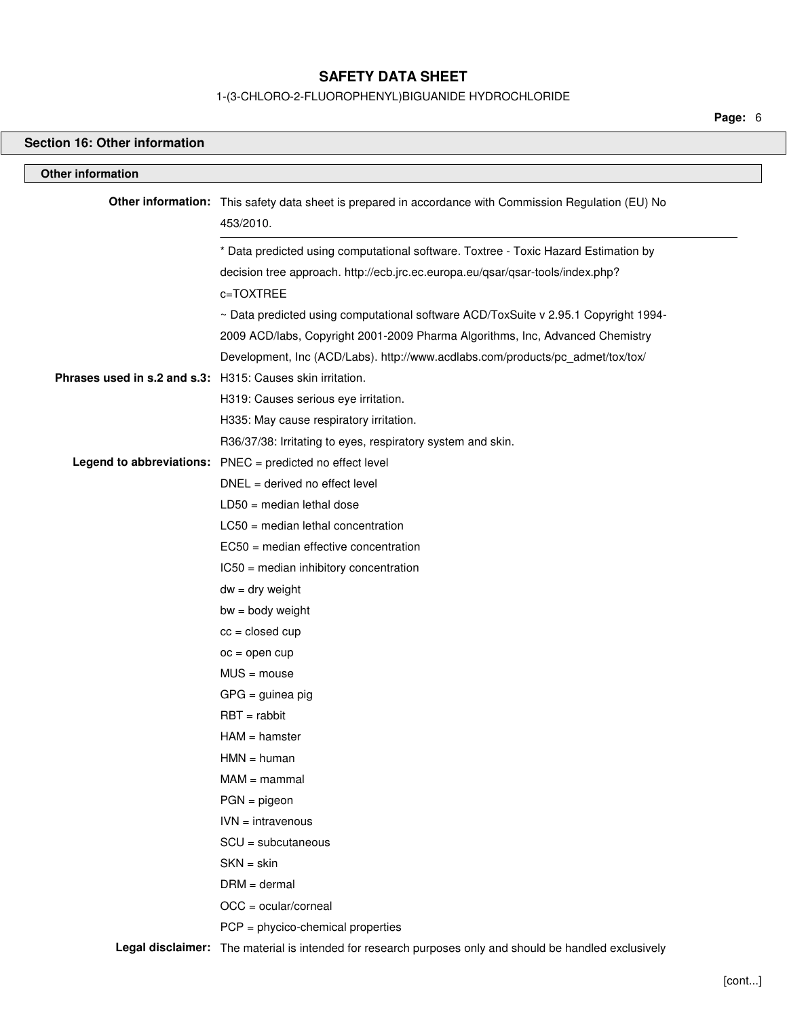# 1-(3-CHLORO-2-FLUOROPHENYL)BIGUANIDE HYDROCHLORIDE

**Page:** 6

| <b>Section 16: Other information</b>                       |                                                                                                                     |
|------------------------------------------------------------|---------------------------------------------------------------------------------------------------------------------|
| <b>Other information</b>                                   |                                                                                                                     |
|                                                            | Other information: This safety data sheet is prepared in accordance with Commission Regulation (EU) No<br>453/2010. |
|                                                            | * Data predicted using computational software. Toxtree - Toxic Hazard Estimation by                                 |
|                                                            | decision tree approach. http://ecb.jrc.ec.europa.eu/qsar/qsar-tools/index.php?<br>c=TOXTREE                         |
|                                                            | ~ Data predicted using computational software ACD/ToxSuite v 2.95.1 Copyright 1994-                                 |
|                                                            | 2009 ACD/labs, Copyright 2001-2009 Pharma Algorithms, Inc, Advanced Chemistry                                       |
|                                                            | Development, Inc (ACD/Labs). http://www.acdlabs.com/products/pc_admet/tox/tox/                                      |
| Phrases used in s.2 and s.3: H315: Causes skin irritation. |                                                                                                                     |
|                                                            | H319: Causes serious eye irritation.                                                                                |
|                                                            | H335: May cause respiratory irritation.                                                                             |
|                                                            | R36/37/38: Irritating to eyes, respiratory system and skin.                                                         |
|                                                            | <b>Legend to abbreviations:</b> $PNEC = predicted no effect level$                                                  |
|                                                            | $DNEL = derived no effect level$                                                                                    |
|                                                            | $LD50 = median$ lethal dose                                                                                         |
|                                                            | $LC50$ = median lethal concentration                                                                                |
|                                                            | $EC50$ = median effective concentration                                                                             |
|                                                            | IC50 = median inhibitory concentration                                                                              |
|                                                            | $dw = dry$ weight                                                                                                   |
|                                                            | $bw = body weight$                                                                                                  |
|                                                            | $cc = closed cup$                                                                                                   |
|                                                            | $oc = open cup$                                                                                                     |
|                                                            | $MUS = mouse$                                                                                                       |
|                                                            | $GPG =$ guinea pig                                                                                                  |
|                                                            | $RBT = rabbit$                                                                                                      |
|                                                            | $HAM = hamster$                                                                                                     |
|                                                            | $HMN = human$                                                                                                       |
|                                                            | $MAM =$ mammal                                                                                                      |
|                                                            | $PGN = pigeon$                                                                                                      |
|                                                            | $IVN = intravenous$                                                                                                 |
|                                                            | $SCU = subcutaneous$                                                                                                |
|                                                            | $SKN = skin$                                                                                                        |
|                                                            | $DRM = dermal$                                                                                                      |
|                                                            | OCC = ocular/corneal                                                                                                |
|                                                            | $PCP = phycico$ -chemical properties                                                                                |
|                                                            | Legal disclaimer: The material is intended for research purposes only and should be handled exclusively             |